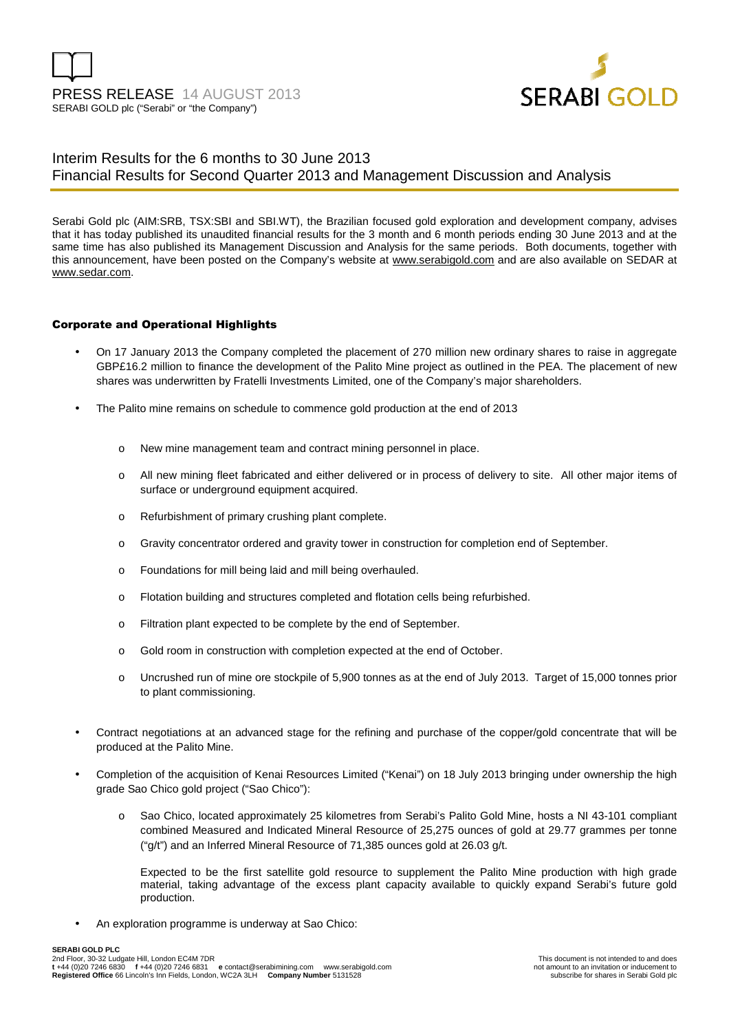



## Interim Results for the 6 months to 30 June 2013 Financial Results for Second Quarter 2013 and Management Discussion and Analysis

Serabi Gold plc (AIM:SRB, TSX:SBI and SBI.WT), the Brazilian focused gold exploration and development company, advises that it has today published its unaudited financial results for the 3 month and 6 month periods ending 30 June 2013 and at the same time has also published its Management Discussion and Analysis for the same periods. Both documents, together with this announcement, have been posted on the Company's website at www.serabigold.com and are also available on SEDAR at www.sedar.com.

#### Corporate and Operational Highlights

- On 17 January 2013 the Company completed the placement of 270 million new ordinary shares to raise in aggregate GBP£16.2 million to finance the development of the Palito Mine project as outlined in the PEA. The placement of new shares was underwritten by Fratelli Investments Limited, one of the Company's major shareholders.
- The Palito mine remains on schedule to commence gold production at the end of 2013
	- o New mine management team and contract mining personnel in place.
	- o All new mining fleet fabricated and either delivered or in process of delivery to site. All other major items of surface or underground equipment acquired.
	- o Refurbishment of primary crushing plant complete.
	- o Gravity concentrator ordered and gravity tower in construction for completion end of September.
	- o Foundations for mill being laid and mill being overhauled.
	- o Flotation building and structures completed and flotation cells being refurbished.
	- o Filtration plant expected to be complete by the end of September.
	- o Gold room in construction with completion expected at the end of October.
	- o Uncrushed run of mine ore stockpile of 5,900 tonnes as at the end of July 2013. Target of 15,000 tonnes prior to plant commissioning.
- Contract negotiations at an advanced stage for the refining and purchase of the copper/gold concentrate that will be produced at the Palito Mine.
- Completion of the acquisition of Kenai Resources Limited ("Kenai") on 18 July 2013 bringing under ownership the high grade Sao Chico gold project ("Sao Chico"):
	- o Sao Chico, located approximately 25 kilometres from Serabi's Palito Gold Mine, hosts a NI 43-101 compliant combined Measured and Indicated Mineral Resource of 25,275 ounces of gold at 29.77 grammes per tonne ("g/t") and an Inferred Mineral Resource of 71,385 ounces gold at 26.03 g/t.

Expected to be the first satellite gold resource to supplement the Palito Mine production with high grade material, taking advantage of the excess plant capacity available to quickly expand Serabi's future gold production.

• An exploration programme is underway at Sao Chico: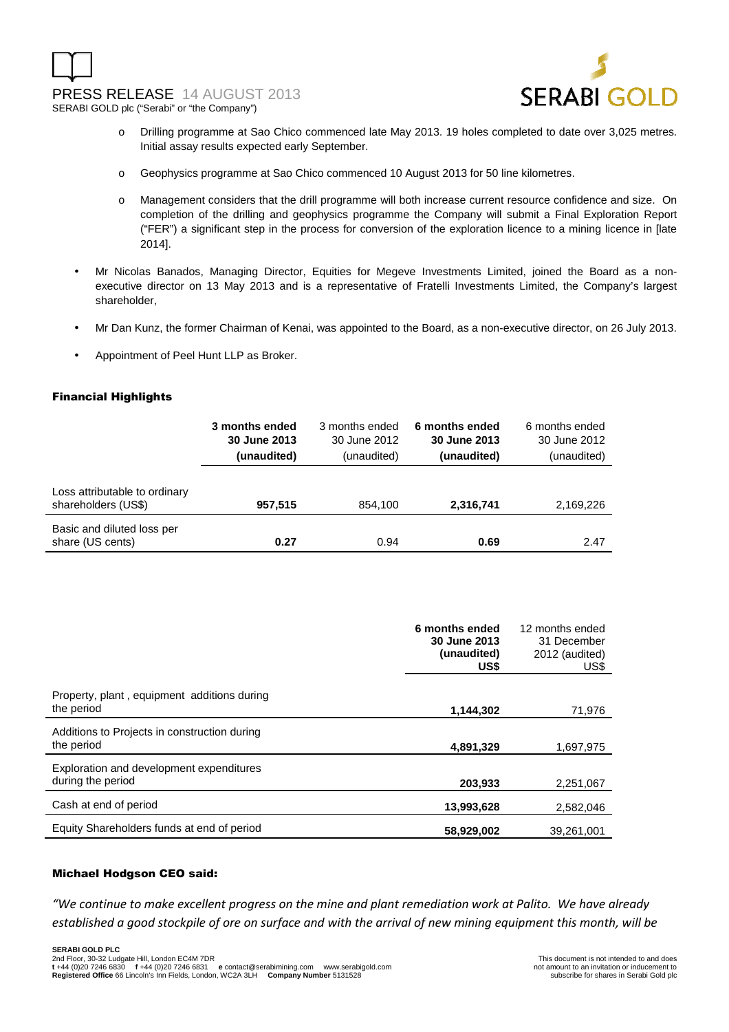



- o Drilling programme at Sao Chico commenced late May 2013. 19 holes completed to date over 3,025 metres. Initial assay results expected early September.
- o Geophysics programme at Sao Chico commenced 10 August 2013 for 50 line kilometres.
- o Management considers that the drill programme will both increase current resource confidence and size. On completion of the drilling and geophysics programme the Company will submit a Final Exploration Report ("FER") a significant step in the process for conversion of the exploration licence to a mining licence in [late 2014].
- Mr Nicolas Banados, Managing Director, Equities for Megeve Investments Limited, joined the Board as a nonexecutive director on 13 May 2013 and is a representative of Fratelli Investments Limited, the Company's largest shareholder,
- Mr Dan Kunz, the former Chairman of Kenai, was appointed to the Board, as a non-executive director, on 26 July 2013.
- Appointment of Peel Hunt LLP as Broker.

#### Financial Highlights

|                                                      | 3 months ended<br>30 June 2013<br>(unaudited) | 3 months ended<br>30 June 2012<br>(unaudited) | 6 months ended<br>30 June 2013<br>(unaudited) | 6 months ended<br>30 June 2012<br>(unaudited) |
|------------------------------------------------------|-----------------------------------------------|-----------------------------------------------|-----------------------------------------------|-----------------------------------------------|
| Loss attributable to ordinary<br>shareholders (US\$) | 957,515                                       | 854,100                                       | 2,316,741                                     | 2,169,226                                     |
| Basic and diluted loss per<br>share (US cents)       | 0.27                                          | 0.94                                          | 0.69                                          | 2.47                                          |

|                                                               | 6 months ended<br>30 June 2013<br>(unaudited)<br>US\$ | 12 months ended<br>31 December<br>2012 (audited)<br>US\$ |
|---------------------------------------------------------------|-------------------------------------------------------|----------------------------------------------------------|
| Property, plant, equipment additions during<br>the period     | 1,144,302                                             | 71,976                                                   |
| Additions to Projects in construction during<br>the period    | 4,891,329                                             | 1,697,975                                                |
| Exploration and development expenditures<br>during the period | 203,933                                               | 2,251,067                                                |
| Cash at end of period                                         | 13,993,628                                            | 2,582,046                                                |
| Equity Shareholders funds at end of period                    | 58.929.002                                            | 39.261.001                                               |

#### Michael Hodgson CEO said:

*"We continue to make excellent progress on the mine and plant remediation work at Palito. We have already established a good stockpile of ore on surface and with the arrival of new mining equipment this month, will be*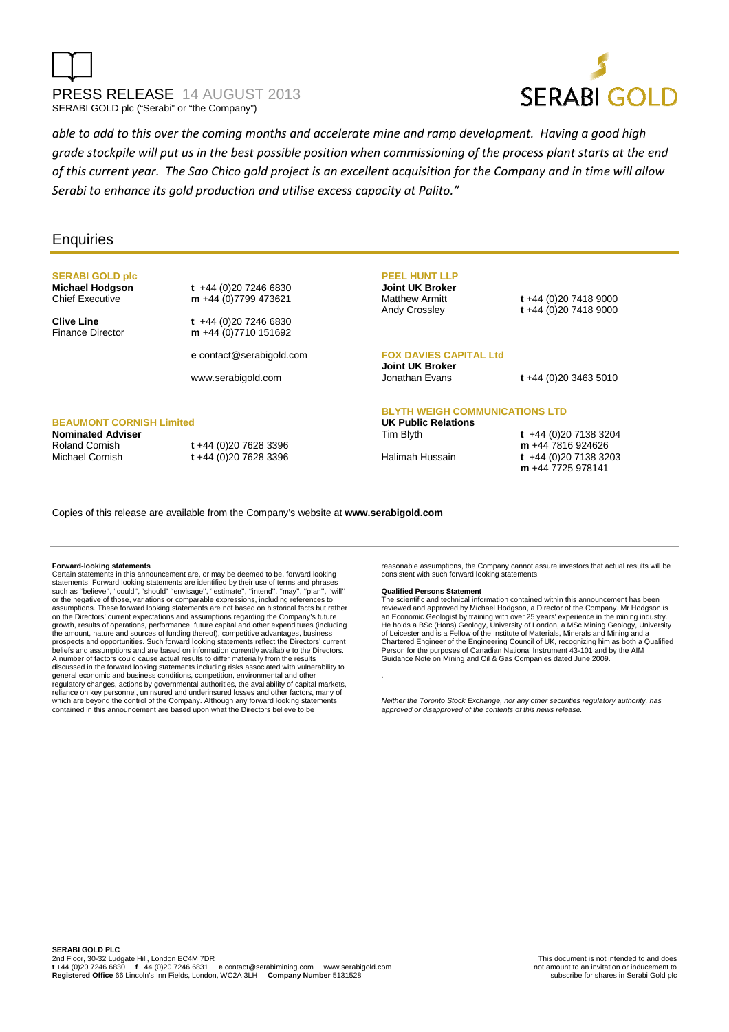# PRESS RELEASE 14 AUGUST 2013 SERABI GOLD plc ("Serabi" or "the Company")



*able to add to this over the coming months and accelerate mine and ramp development. Having a good high grade stockpile will put us in the best possible position when commissioning of the process plant starts at the end of this current year. The Sao Chico gold project is an excellent acquisition for the Company and in time will allow Serabi to enhance its gold production and utilise excess capacity at Palito."* 

### **Enquiries**

**SERABI GOLD plc** 

**Michael Hodgson t** +44 (0)20 7246 6830 Chief Executive **m** +44 (0)7799 473621

**Clive Line t** +44 (0)20 7246 6830 Finance Director **m** +44 (0)7710 151692

**e** contact@serabigold.com

www.serabigold.com

#### **BEAUMONT CORNISH Limited**

**Nominated Adviser** 

Roland Cornish **t** +44 (0)20 7628 3396 Michael Cornish **t** +44 (0)20 7628 3396 **PEEL HUNT LLP Joint UK Broker** 

Matthew Armitt **t** +44 (0)20 7418 9000 Andy Crossley **t** +44 (0)20 7418 9000

**FOX DAVIES CAPITAL Ltd** 

**Joint UK Broker** 

Jonathan Evans **t** +44 (0)20 3463 5010

### **BLYTH WEIGH COMMUNICATIONS LTD**

**UK Public Relations** 

Tim Blyth **t** +44 (0)20 7138 3204 **m** +44 7816 924626 Halimah Hussain **t** +44 (0)20 7138 3203 **m** +44 7725 978141

Copies of this release are available from the Company's website at **www.serabigold.com** 

#### **Forward-looking statements**

Certain statements in this announcement are, or may be deemed to be, forward looking statements. Forward looking statements are identified by their use of terms and phrases<br>such as "believe", "could", "should" "envisage", "estimate", "intend", "may", "plan", "will"<br>or the negative of those, variations or c assumptions. These forward looking statements are not based on historical facts but rather on the Directors' current expectations and assumptions regarding the Company's future growth, results of operations, performance, future capital and other expenditures (including the amount, nature and sources of funding thereof), competitive advantages, business prospects and opportunities. Such forward looking statements reflect the Directors' current beliefs and assumptions and are based on information currently available to the Directors. A number of factors could cause actual results to differ materially from the results discussed in the forward looking statements including risks associated with vulnerability to general economic and business conditions, competition, environmental and other regulatory changes, actions by governmental authorities, the availability of capital markets, reliance on key personnel, uninsured and underinsured losses and other factors, many of<br>which are beyond the control of the Company. Although any forward looking statements<br>contained in this announcement are based upon wha

reasonable assumptions, the Company cannot assure investors that actual results will be consistent with such forward looking statements.

#### **Qualified Persons Statement**

.

The scientific and technical information contained within this announcement has been reviewed and approved by Michael Hodgson, a Director of the Company. Mr Hodgson is an Economic Geologist by training with over 25 years' experience in the mining industry.<br>He holds a BSc (Hons) Geology, University of London, a MSc Mining Geology, University<br>of Leicester and is a Fellow of the Institute Chartered Engineer of the Engineering Council of UK, recognizing him as both a Qualified Person for the purposes of Canadian National Instrument 43-101 and by the AIM Guidance Note on Mining and Oil & Gas Companies dated June 2009.

Neither the Toronto Stock Exchange, nor any other securities regulatory authority, has approved or disapproved of the contents of this news release.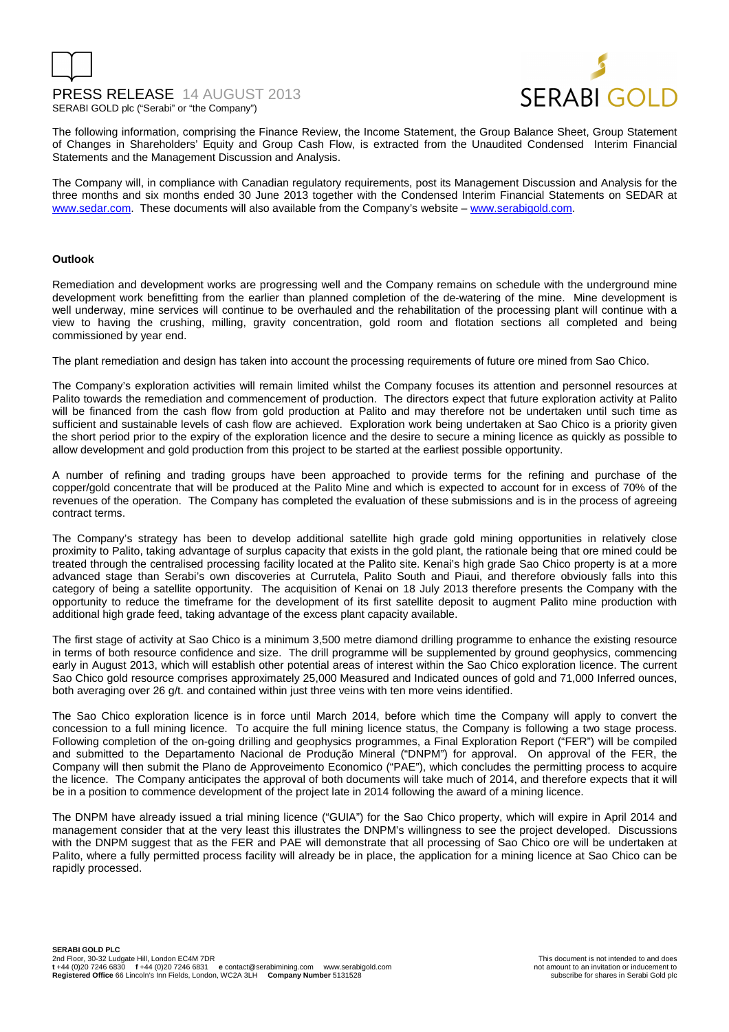



The following information, comprising the Finance Review, the Income Statement, the Group Balance Sheet, Group Statement of Changes in Shareholders' Equity and Group Cash Flow, is extracted from the Unaudited Condensed Interim Financial Statements and the Management Discussion and Analysis.

The Company will, in compliance with Canadian regulatory requirements, post its Management Discussion and Analysis for the three months and six months ended 30 June 2013 together with the Condensed Interim Financial Statements on SEDAR at www.sedar.com. These documents will also available from the Company's website – www.serabigold.com.

#### **Outlook**

Remediation and development works are progressing well and the Company remains on schedule with the underground mine development work benefitting from the earlier than planned completion of the de-watering of the mine. Mine development is well underway, mine services will continue to be overhauled and the rehabilitation of the processing plant will continue with a view to having the crushing, milling, gravity concentration, gold room and flotation sections all completed and being commissioned by year end.

The plant remediation and design has taken into account the processing requirements of future ore mined from Sao Chico.

The Company's exploration activities will remain limited whilst the Company focuses its attention and personnel resources at Palito towards the remediation and commencement of production. The directors expect that future exploration activity at Palito will be financed from the cash flow from gold production at Palito and may therefore not be undertaken until such time as sufficient and sustainable levels of cash flow are achieved. Exploration work being undertaken at Sao Chico is a priority given the short period prior to the expiry of the exploration licence and the desire to secure a mining licence as quickly as possible to allow development and gold production from this project to be started at the earliest possible opportunity.

A number of refining and trading groups have been approached to provide terms for the refining and purchase of the copper/gold concentrate that will be produced at the Palito Mine and which is expected to account for in excess of 70% of the revenues of the operation. The Company has completed the evaluation of these submissions and is in the process of agreeing contract terms.

The Company's strategy has been to develop additional satellite high grade gold mining opportunities in relatively close proximity to Palito, taking advantage of surplus capacity that exists in the gold plant, the rationale being that ore mined could be treated through the centralised processing facility located at the Palito site. Kenai's high grade Sao Chico property is at a more advanced stage than Serabi's own discoveries at Currutela, Palito South and Piaui, and therefore obviously falls into this category of being a satellite opportunity. The acquisition of Kenai on 18 July 2013 therefore presents the Company with the opportunity to reduce the timeframe for the development of its first satellite deposit to augment Palito mine production with additional high grade feed, taking advantage of the excess plant capacity available.

The first stage of activity at Sao Chico is a minimum 3,500 metre diamond drilling programme to enhance the existing resource in terms of both resource confidence and size. The drill programme will be supplemented by ground geophysics, commencing early in August 2013, which will establish other potential areas of interest within the Sao Chico exploration licence. The current Sao Chico gold resource comprises approximately 25,000 Measured and Indicated ounces of gold and 71,000 Inferred ounces, both averaging over 26 g/t. and contained within just three veins with ten more veins identified.

The Sao Chico exploration licence is in force until March 2014, before which time the Company will apply to convert the concession to a full mining licence. To acquire the full mining licence status, the Company is following a two stage process. Following completion of the on-going drilling and geophysics programmes, a Final Exploration Report ("FER") will be compiled and submitted to the Departamento Nacional de Produção Mineral ("DNPM") for approval. On approval of the FER, the Company will then submit the Plano de Approveimento Economico ("PAE"), which concludes the permitting process to acquire the licence. The Company anticipates the approval of both documents will take much of 2014, and therefore expects that it will be in a position to commence development of the project late in 2014 following the award of a mining licence.

The DNPM have already issued a trial mining licence ("GUIA") for the Sao Chico property, which will expire in April 2014 and management consider that at the very least this illustrates the DNPM's willingness to see the project developed. Discussions with the DNPM suggest that as the FER and PAE will demonstrate that all processing of Sao Chico ore will be undertaken at Palito, where a fully permitted process facility will already be in place, the application for a mining licence at Sao Chico can be rapidly processed.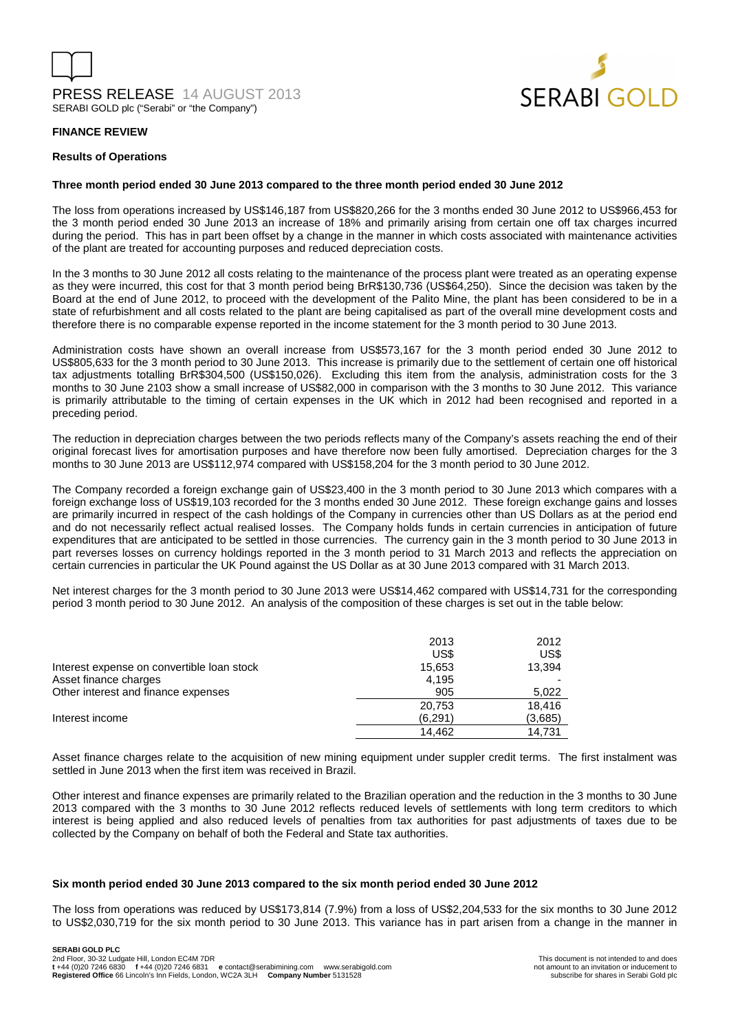



#### **FINANCE REVIEW**

#### **Results of Operations**

#### **Three month period ended 30 June 2013 compared to the three month period ended 30 June 2012**

The loss from operations increased by US\$146,187 from US\$820,266 for the 3 months ended 30 June 2012 to US\$966,453 for the 3 month period ended 30 June 2013 an increase of 18% and primarily arising from certain one off tax charges incurred during the period. This has in part been offset by a change in the manner in which costs associated with maintenance activities of the plant are treated for accounting purposes and reduced depreciation costs.

In the 3 months to 30 June 2012 all costs relating to the maintenance of the process plant were treated as an operating expense as they were incurred, this cost for that 3 month period being BrR\$130,736 (US\$64,250). Since the decision was taken by the Board at the end of June 2012, to proceed with the development of the Palito Mine, the plant has been considered to be in a state of refurbishment and all costs related to the plant are being capitalised as part of the overall mine development costs and therefore there is no comparable expense reported in the income statement for the 3 month period to 30 June 2013.

Administration costs have shown an overall increase from US\$573,167 for the 3 month period ended 30 June 2012 to US\$805,633 for the 3 month period to 30 June 2013. This increase is primarily due to the settlement of certain one off historical tax adjustments totalling BrR\$304,500 (US\$150,026). Excluding this item from the analysis, administration costs for the 3 months to 30 June 2103 show a small increase of US\$82,000 in comparison with the 3 months to 30 June 2012. This variance is primarily attributable to the timing of certain expenses in the UK which in 2012 had been recognised and reported in a preceding period.

The reduction in depreciation charges between the two periods reflects many of the Company's assets reaching the end of their original forecast lives for amortisation purposes and have therefore now been fully amortised. Depreciation charges for the 3 months to 30 June 2013 are US\$112,974 compared with US\$158,204 for the 3 month period to 30 June 2012.

The Company recorded a foreign exchange gain of US\$23,400 in the 3 month period to 30 June 2013 which compares with a foreign exchange loss of US\$19,103 recorded for the 3 months ended 30 June 2012. These foreign exchange gains and losses are primarily incurred in respect of the cash holdings of the Company in currencies other than US Dollars as at the period end and do not necessarily reflect actual realised losses. The Company holds funds in certain currencies in anticipation of future expenditures that are anticipated to be settled in those currencies. The currency gain in the 3 month period to 30 June 2013 in part reverses losses on currency holdings reported in the 3 month period to 31 March 2013 and reflects the appreciation on certain currencies in particular the UK Pound against the US Dollar as at 30 June 2013 compared with 31 March 2013.

Net interest charges for the 3 month period to 30 June 2013 were US\$14,462 compared with US\$14,731 for the corresponding period 3 month period to 30 June 2012. An analysis of the composition of these charges is set out in the table below:

|                                            | 2013<br>US\$ | 2012<br>US\$ |
|--------------------------------------------|--------------|--------------|
| Interest expense on convertible loan stock | 15,653       | 13,394       |
| Asset finance charges                      | 4.195        |              |
| Other interest and finance expenses        | 905          | 5,022        |
|                                            | 20.753       | 18,416       |
| Interest income                            | (6.291)      | (3,685)      |
|                                            | 14.462       | 14.731       |

Asset finance charges relate to the acquisition of new mining equipment under suppler credit terms. The first instalment was settled in June 2013 when the first item was received in Brazil.

Other interest and finance expenses are primarily related to the Brazilian operation and the reduction in the 3 months to 30 June 2013 compared with the 3 months to 30 June 2012 reflects reduced levels of settlements with long term creditors to which interest is being applied and also reduced levels of penalties from tax authorities for past adjustments of taxes due to be collected by the Company on behalf of both the Federal and State tax authorities.

#### **Six month period ended 30 June 2013 compared to the six month period ended 30 June 2012**

The loss from operations was reduced by US\$173,814 (7.9%) from a loss of US\$2,204,533 for the six months to 30 June 2012 to US\$2,030,719 for the six month period to 30 June 2013. This variance has in part arisen from a change in the manner in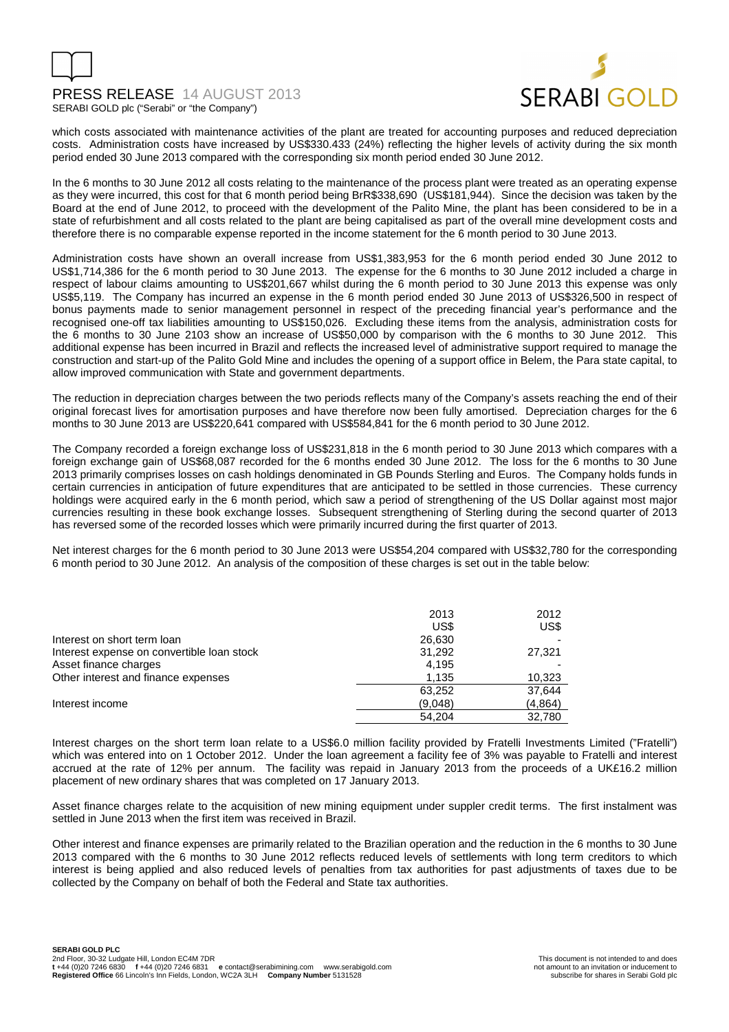



which costs associated with maintenance activities of the plant are treated for accounting purposes and reduced depreciation costs. Administration costs have increased by US\$330.433 (24%) reflecting the higher levels of activity during the six month period ended 30 June 2013 compared with the corresponding six month period ended 30 June 2012.

In the 6 months to 30 June 2012 all costs relating to the maintenance of the process plant were treated as an operating expense as they were incurred, this cost for that 6 month period being BrR\$338,690 (US\$181,944). Since the decision was taken by the Board at the end of June 2012, to proceed with the development of the Palito Mine, the plant has been considered to be in a state of refurbishment and all costs related to the plant are being capitalised as part of the overall mine development costs and therefore there is no comparable expense reported in the income statement for the 6 month period to 30 June 2013.

Administration costs have shown an overall increase from US\$1,383,953 for the 6 month period ended 30 June 2012 to US\$1,714,386 for the 6 month period to 30 June 2013. The expense for the 6 months to 30 June 2012 included a charge in respect of labour claims amounting to US\$201,667 whilst during the 6 month period to 30 June 2013 this expense was only US\$5,119. The Company has incurred an expense in the 6 month period ended 30 June 2013 of US\$326,500 in respect of bonus payments made to senior management personnel in respect of the preceding financial year's performance and the recognised one-off tax liabilities amounting to US\$150,026. Excluding these items from the analysis, administration costs for the 6 months to 30 June 2103 show an increase of US\$50,000 by comparison with the 6 months to 30 June 2012. This additional expense has been incurred in Brazil and reflects the increased level of administrative support required to manage the construction and start-up of the Palito Gold Mine and includes the opening of a support office in Belem, the Para state capital, to allow improved communication with State and government departments.

The reduction in depreciation charges between the two periods reflects many of the Company's assets reaching the end of their original forecast lives for amortisation purposes and have therefore now been fully amortised. Depreciation charges for the 6 months to 30 June 2013 are US\$220,641 compared with US\$584,841 for the 6 month period to 30 June 2012.

The Company recorded a foreign exchange loss of US\$231,818 in the 6 month period to 30 June 2013 which compares with a foreign exchange gain of US\$68,087 recorded for the 6 months ended 30 June 2012. The loss for the 6 months to 30 June 2013 primarily comprises losses on cash holdings denominated in GB Pounds Sterling and Euros. The Company holds funds in certain currencies in anticipation of future expenditures that are anticipated to be settled in those currencies. These currency holdings were acquired early in the 6 month period, which saw a period of strengthening of the US Dollar against most major currencies resulting in these book exchange losses. Subsequent strengthening of Sterling during the second quarter of 2013 has reversed some of the recorded losses which were primarily incurred during the first quarter of 2013.

Net interest charges for the 6 month period to 30 June 2013 were US\$54,204 compared with US\$32,780 for the corresponding 6 month period to 30 June 2012. An analysis of the composition of these charges is set out in the table below:

|                                            | 2013    | 2012    |
|--------------------------------------------|---------|---------|
|                                            | US\$    | US\$    |
| Interest on short term loan                | 26,630  |         |
| Interest expense on convertible loan stock | 31.292  | 27,321  |
| Asset finance charges                      | 4.195   |         |
| Other interest and finance expenses        | 1,135   | 10,323  |
|                                            | 63.252  | 37.644  |
| Interest income                            | (9,048) | (4,864) |
|                                            | 54.204  | 32,780  |

Interest charges on the short term loan relate to a US\$6.0 million facility provided by Fratelli Investments Limited ("Fratelli") which was entered into on 1 October 2012. Under the loan agreement a facility fee of 3% was payable to Fratelli and interest accrued at the rate of 12% per annum. The facility was repaid in January 2013 from the proceeds of a UK£16.2 million placement of new ordinary shares that was completed on 17 January 2013.

Asset finance charges relate to the acquisition of new mining equipment under suppler credit terms. The first instalment was settled in June 2013 when the first item was received in Brazil.

Other interest and finance expenses are primarily related to the Brazilian operation and the reduction in the 6 months to 30 June 2013 compared with the 6 months to 30 June 2012 reflects reduced levels of settlements with long term creditors to which interest is being applied and also reduced levels of penalties from tax authorities for past adjustments of taxes due to be collected by the Company on behalf of both the Federal and State tax authorities.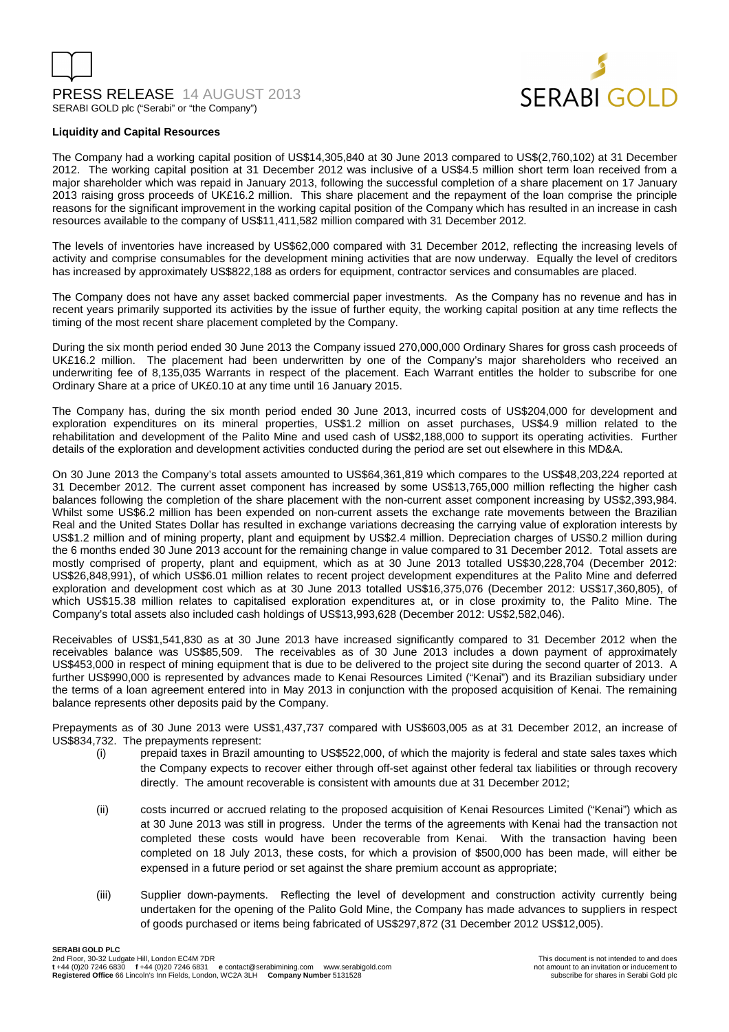



#### **Liquidity and Capital Resources**

The Company had a working capital position of US\$14,305,840 at 30 June 2013 compared to US\$(2,760,102) at 31 December 2012. The working capital position at 31 December 2012 was inclusive of a US\$4.5 million short term loan received from a major shareholder which was repaid in January 2013, following the successful completion of a share placement on 17 January 2013 raising gross proceeds of UK£16.2 million. This share placement and the repayment of the loan comprise the principle reasons for the significant improvement in the working capital position of the Company which has resulted in an increase in cash resources available to the company of US\$11,411,582 million compared with 31 December 2012.

The levels of inventories have increased by US\$62,000 compared with 31 December 2012, reflecting the increasing levels of activity and comprise consumables for the development mining activities that are now underway. Equally the level of creditors has increased by approximately US\$822,188 as orders for equipment, contractor services and consumables are placed.

The Company does not have any asset backed commercial paper investments. As the Company has no revenue and has in recent years primarily supported its activities by the issue of further equity, the working capital position at any time reflects the timing of the most recent share placement completed by the Company.

During the six month period ended 30 June 2013 the Company issued 270,000,000 Ordinary Shares for gross cash proceeds of UK£16.2 million. The placement had been underwritten by one of the Company's major shareholders who received an underwriting fee of 8,135,035 Warrants in respect of the placement. Each Warrant entitles the holder to subscribe for one Ordinary Share at a price of UK£0.10 at any time until 16 January 2015.

The Company has, during the six month period ended 30 June 2013, incurred costs of US\$204,000 for development and exploration expenditures on its mineral properties, US\$1.2 million on asset purchases. US\$4.9 million related to the rehabilitation and development of the Palito Mine and used cash of US\$2,188,000 to support its operating activities. Further details of the exploration and development activities conducted during the period are set out elsewhere in this MD&A.

On 30 June 2013 the Company's total assets amounted to US\$64,361,819 which compares to the US\$48,203,224 reported at 31 December 2012. The current asset component has increased by some US\$13,765,000 million reflecting the higher cash balances following the completion of the share placement with the non-current asset component increasing by US\$2,393,984. Whilst some US\$6.2 million has been expended on non-current assets the exchange rate movements between the Brazilian Real and the United States Dollar has resulted in exchange variations decreasing the carrying value of exploration interests by US\$1.2 million and of mining property, plant and equipment by US\$2.4 million. Depreciation charges of US\$0.2 million during the 6 months ended 30 June 2013 account for the remaining change in value compared to 31 December 2012. Total assets are mostly comprised of property, plant and equipment, which as at 30 June 2013 totalled US\$30,228,704 (December 2012: US\$26,848,991), of which US\$6.01 million relates to recent project development expenditures at the Palito Mine and deferred exploration and development cost which as at 30 June 2013 totalled US\$16,375,076 (December 2012: US\$17,360,805), of which US\$15.38 million relates to capitalised exploration expenditures at, or in close proximity to, the Palito Mine. The Company's total assets also included cash holdings of US\$13,993,628 (December 2012: US\$2,582,046).

Receivables of US\$1,541,830 as at 30 June 2013 have increased significantly compared to 31 December 2012 when the receivables balance was US\$85,509. The receivables as of 30 June 2013 includes a down payment of approximately US\$453,000 in respect of mining equipment that is due to be delivered to the project site during the second quarter of 2013. A further US\$990,000 is represented by advances made to Kenai Resources Limited ("Kenai") and its Brazilian subsidiary under the terms of a loan agreement entered into in May 2013 in conjunction with the proposed acquisition of Kenai. The remaining balance represents other deposits paid by the Company.

Prepayments as of 30 June 2013 were US\$1,437,737 compared with US\$603,005 as at 31 December 2012, an increase of US\$834,732. The prepayments represent:

- (i) prepaid taxes in Brazil amounting to US\$522,000, of which the majority is federal and state sales taxes which the Company expects to recover either through off-set against other federal tax liabilities or through recovery directly. The amount recoverable is consistent with amounts due at 31 December 2012;
- (ii) costs incurred or accrued relating to the proposed acquisition of Kenai Resources Limited ("Kenai") which as at 30 June 2013 was still in progress. Under the terms of the agreements with Kenai had the transaction not completed these costs would have been recoverable from Kenai. With the transaction having been completed on 18 July 2013, these costs, for which a provision of \$500,000 has been made, will either be expensed in a future period or set against the share premium account as appropriate;
- (iii) Supplier down-payments. Reflecting the level of development and construction activity currently being undertaken for the opening of the Palito Gold Mine, the Company has made advances to suppliers in respect of goods purchased or items being fabricated of US\$297,872 (31 December 2012 US\$12,005).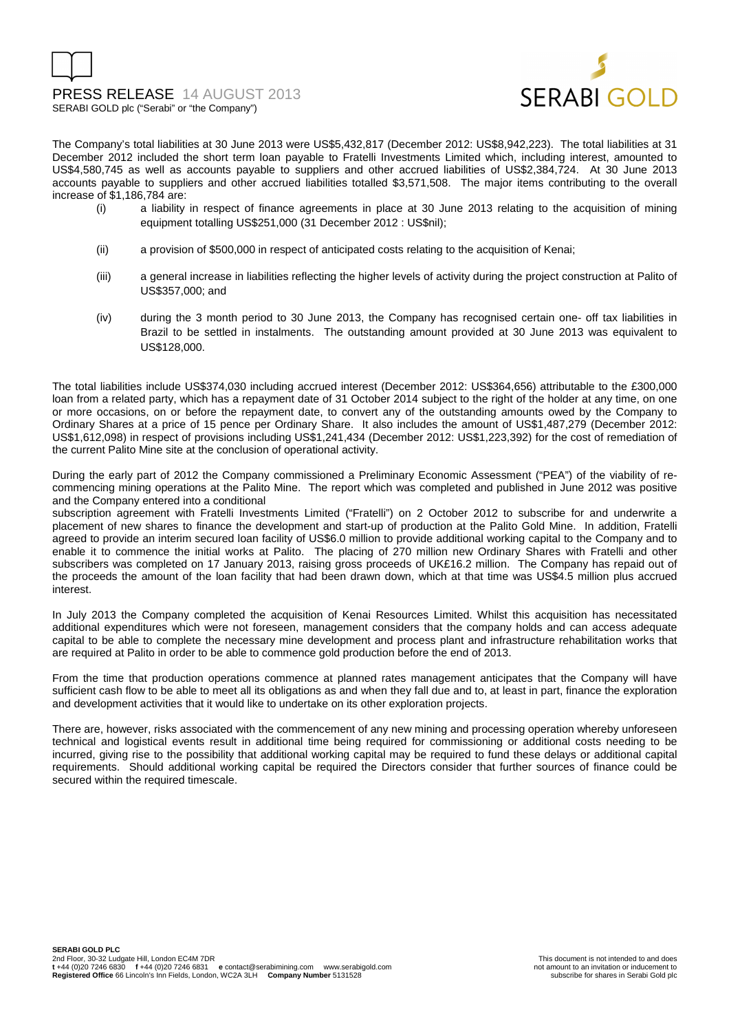

The Company's total liabilities at 30 June 2013 were US\$5,432,817 (December 2012: US\$8,942,223). The total liabilities at 31 December 2012 included the short term loan payable to Fratelli Investments Limited which, including interest, amounted to US\$4,580,745 as well as accounts payable to suppliers and other accrued liabilities of US\$2,384,724. At 30 June 2013 accounts payable to suppliers and other accrued liabilities totalled \$3,571,508. The major items contributing to the overall increase of \$1,186,784 are:

- (i) a liability in respect of finance agreements in place at 30 June 2013 relating to the acquisition of mining equipment totalling US\$251,000 (31 December 2012 : US\$nil);
- (ii) a provision of \$500,000 in respect of anticipated costs relating to the acquisition of Kenai;
- (iii) a general increase in liabilities reflecting the higher levels of activity during the project construction at Palito of US\$357,000; and
- (iv) during the 3 month period to 30 June 2013, the Company has recognised certain one- off tax liabilities in Brazil to be settled in instalments. The outstanding amount provided at 30 June 2013 was equivalent to US\$128,000.

The total liabilities include US\$374,030 including accrued interest (December 2012: US\$364,656) attributable to the £300,000 loan from a related party, which has a repayment date of 31 October 2014 subject to the right of the holder at any time, on one or more occasions, on or before the repayment date, to convert any of the outstanding amounts owed by the Company to Ordinary Shares at a price of 15 pence per Ordinary Share. It also includes the amount of US\$1,487,279 (December 2012: US\$1,612,098) in respect of provisions including US\$1,241,434 (December 2012: US\$1,223,392) for the cost of remediation of the current Palito Mine site at the conclusion of operational activity.

During the early part of 2012 the Company commissioned a Preliminary Economic Assessment ("PEA") of the viability of recommencing mining operations at the Palito Mine. The report which was completed and published in June 2012 was positive and the Company entered into a conditional

subscription agreement with Fratelli Investments Limited ("Fratelli") on 2 October 2012 to subscribe for and underwrite a placement of new shares to finance the development and start-up of production at the Palito Gold Mine. In addition, Fratelli agreed to provide an interim secured loan facility of US\$6.0 million to provide additional working capital to the Company and to enable it to commence the initial works at Palito. The placing of 270 million new Ordinary Shares with Fratelli and other subscribers was completed on 17 January 2013, raising gross proceeds of UK£16.2 million. The Company has repaid out of the proceeds the amount of the loan facility that had been drawn down, which at that time was US\$4.5 million plus accrued interest.

In July 2013 the Company completed the acquisition of Kenai Resources Limited. Whilst this acquisition has necessitated additional expenditures which were not foreseen, management considers that the company holds and can access adequate capital to be able to complete the necessary mine development and process plant and infrastructure rehabilitation works that are required at Palito in order to be able to commence gold production before the end of 2013.

From the time that production operations commence at planned rates management anticipates that the Company will have sufficient cash flow to be able to meet all its obligations as and when they fall due and to, at least in part, finance the exploration and development activities that it would like to undertake on its other exploration projects.

There are, however, risks associated with the commencement of any new mining and processing operation whereby unforeseen technical and logistical events result in additional time being required for commissioning or additional costs needing to be incurred, giving rise to the possibility that additional working capital may be required to fund these delays or additional capital requirements. Should additional working capital be required the Directors consider that further sources of finance could be secured within the required timescale.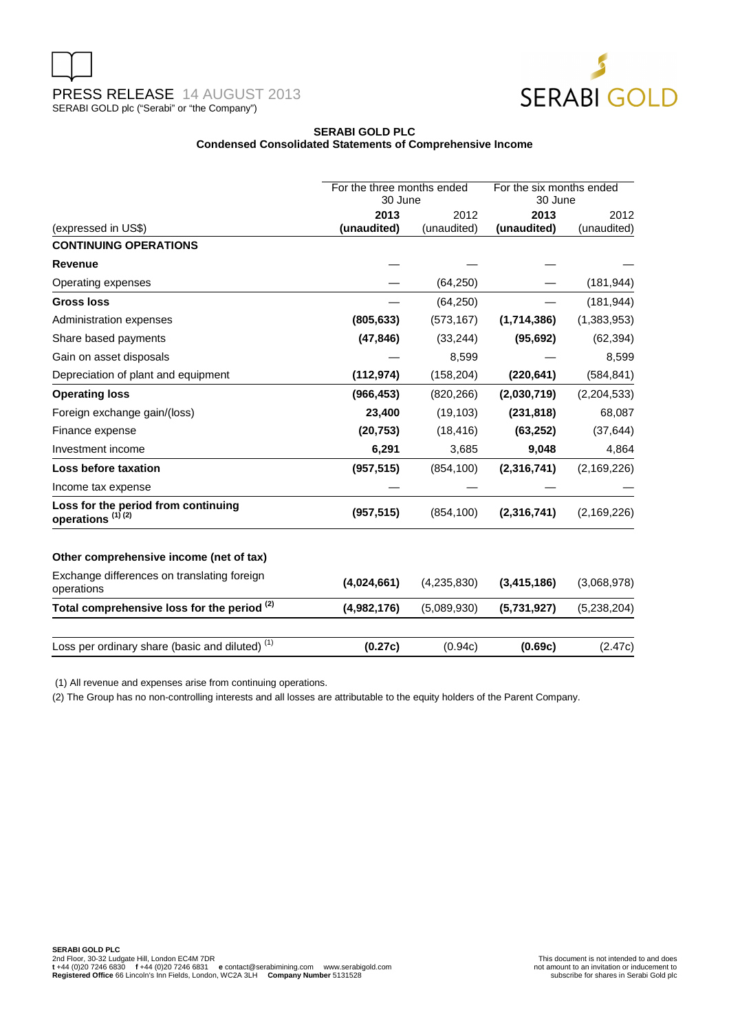



#### **SERABI GOLD PLC Condensed Consolidated Statements of Comprehensive Income**

|                                                                     | For the three months ended<br>30 June |             | For the six months ended<br>30 June |               |
|---------------------------------------------------------------------|---------------------------------------|-------------|-------------------------------------|---------------|
|                                                                     | 2013                                  | 2012        | 2013                                | 2012          |
| (expressed in US\$)                                                 | (unaudited)                           | (unaudited) | (unaudited)                         | (unaudited)   |
| <b>CONTINUING OPERATIONS</b>                                        |                                       |             |                                     |               |
| <b>Revenue</b>                                                      |                                       |             |                                     |               |
| Operating expenses                                                  |                                       | (64, 250)   |                                     | (181, 944)    |
| <b>Gross loss</b>                                                   |                                       | (64, 250)   |                                     | (181, 944)    |
| Administration expenses                                             | (805, 633)                            | (573, 167)  | (1,714,386)                         | (1,383,953)   |
| Share based payments                                                | (47, 846)                             | (33, 244)   | (95, 692)                           | (62, 394)     |
| Gain on asset disposals                                             |                                       | 8,599       |                                     | 8,599         |
| Depreciation of plant and equipment                                 | (112, 974)                            | (158, 204)  | (220, 641)                          | (584, 841)    |
| <b>Operating loss</b>                                               | (966, 453)                            | (820, 266)  | (2,030,719)                         | (2,204,533)   |
| Foreign exchange gain/(loss)                                        | 23,400                                | (19, 103)   | (231, 818)                          | 68,087        |
| Finance expense                                                     | (20, 753)                             | (18, 416)   | (63, 252)                           | (37, 644)     |
| Investment income                                                   | 6,291                                 | 3,685       | 9,048                               | 4,864         |
| <b>Loss before taxation</b>                                         | (957, 515)                            | (854, 100)  | (2,316,741)                         | (2, 169, 226) |
| Income tax expense                                                  |                                       |             |                                     |               |
| Loss for the period from continuing<br>operations <sup>(1)(2)</sup> | (957, 515)                            | (854, 100)  | (2,316,741)                         | (2, 169, 226) |
| Other comprehensive income (net of tax)                             |                                       |             |                                     |               |
| Exchange differences on translating foreign<br>operations           | (4,024,661)                           | (4,235,830) | (3, 415, 186)                       | (3,068,978)   |
| Total comprehensive loss for the period (2)                         | (4,982,176)                           | (5,089,930) | (5,731,927)                         | (5,238,204)   |
| Loss per ordinary share (basic and diluted) <sup>(1)</sup>          | (0.27c)                               | (0.94c)     | (0.69c)                             | (2.47c)       |

(1) All revenue and expenses arise from continuing operations.

(2) The Group has no non-controlling interests and all losses are attributable to the equity holders of the Parent Company.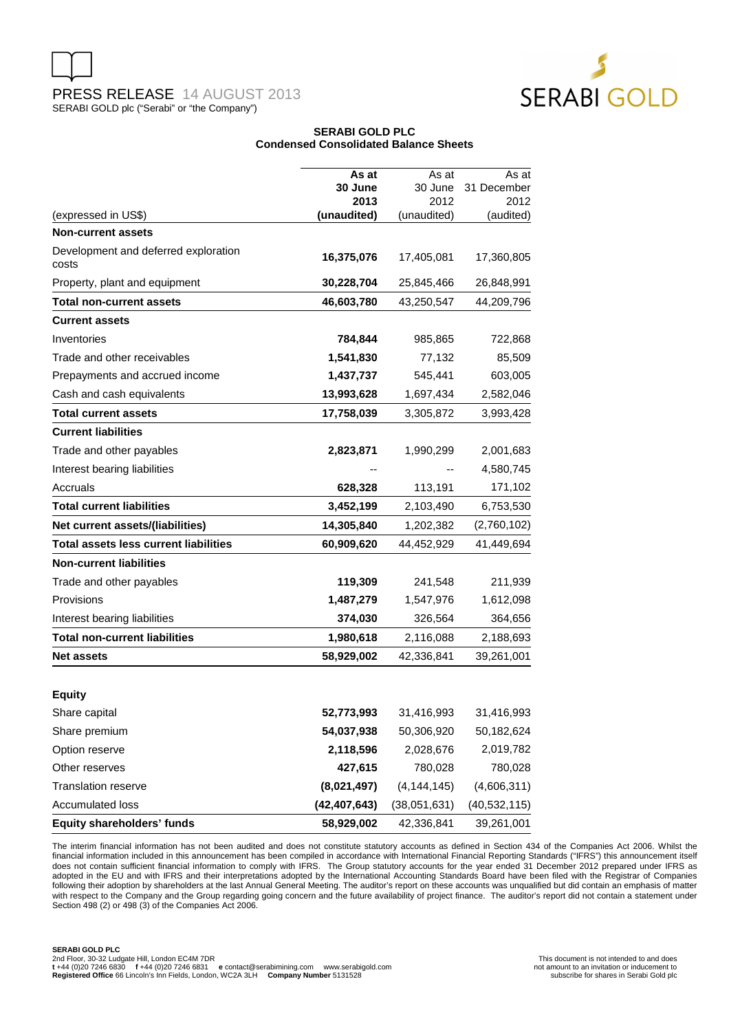



#### **SERABI GOLD PLC Condensed Consolidated Balance Sheets**

|                                                  | As at          | As at         | As at          |
|--------------------------------------------------|----------------|---------------|----------------|
|                                                  | 30 June        | 30 June       | 31 December    |
|                                                  | 2013           | 2012          | 2012           |
| (expressed in US\$)<br><b>Non-current assets</b> | (unaudited)    | (unaudited)   | (audited)      |
|                                                  |                |               |                |
| Development and deferred exploration<br>costs    | 16,375,076     | 17,405,081    | 17,360,805     |
| Property, plant and equipment                    | 30,228,704     | 25,845,466    | 26,848,991     |
| <b>Total non-current assets</b>                  | 46,603,780     | 43,250,547    | 44,209,796     |
| <b>Current assets</b>                            |                |               |                |
| Inventories                                      | 784,844        | 985,865       | 722,868        |
| Trade and other receivables                      | 1,541,830      | 77,132        | 85,509         |
| Prepayments and accrued income                   | 1,437,737      | 545,441       | 603,005        |
| Cash and cash equivalents                        | 13,993,628     | 1,697,434     | 2,582,046      |
| <b>Total current assets</b>                      | 17,758,039     | 3,305,872     | 3,993,428      |
| <b>Current liabilities</b>                       |                |               |                |
| Trade and other payables                         | 2,823,871      | 1,990,299     | 2,001,683      |
| Interest bearing liabilities                     |                |               | 4,580,745      |
| Accruals                                         | 628,328        | 113,191       | 171,102        |
| <b>Total current liabilities</b>                 | 3,452,199      | 2,103,490     | 6,753,530      |
| Net current assets/(liabilities)                 | 14,305,840     | 1,202,382     | (2,760,102)    |
| <b>Total assets less current liabilities</b>     | 60,909,620     | 44,452,929    | 41,449,694     |
| <b>Non-current liabilities</b>                   |                |               |                |
| Trade and other payables                         | 119,309        | 241,548       | 211,939        |
| Provisions                                       | 1,487,279      | 1,547,976     | 1,612,098      |
| Interest bearing liabilities                     | 374,030        | 326,564       | 364,656        |
| <b>Total non-current liabilities</b>             | 1,980,618      | 2,116,088     | 2,188,693      |
| <b>Net assets</b>                                | 58,929,002     | 42,336,841    | 39,261,001     |
|                                                  |                |               |                |
| <b>Equity</b>                                    |                |               |                |
| Share capital                                    | 52,773,993     | 31,416,993    | 31,416,993     |
| Share premium                                    | 54,037,938     | 50,306,920    | 50,182,624     |
| Option reserve                                   | 2,118,596      | 2,028,676     | 2,019,782      |
| Other reserves                                   | 427,615        | 780,028       | 780,028        |
| <b>Translation reserve</b>                       | (8,021,497)    | (4, 144, 145) | (4,606,311)    |
| <b>Accumulated loss</b>                          | (42, 407, 643) | (38,051,631)  | (40, 532, 115) |
| <b>Equity shareholders' funds</b>                | 58,929,002     | 42,336,841    | 39,261,001     |

The interim financial information has not been audited and does not constitute statutory accounts as defined in Section 434 of the Companies Act 2006. Whilst the financial information included in this announcement has been compiled in accordance with International Financial Reporting Standards ("IFRS") this announcement itself does not contain sufficient financial information to comply with IFRS. The Group statutory accounts for the year ended 31 December 2012 prepared under IFRS as adopted in the EU and with IFRS and their interpretations adopted by the International Accounting Standards Board have been filed with the Registrar of Companies following their adoption by shareholders at the last Annual General Meeting. The auditor's report on these accounts was unqualified but did contain an emphasis of matter with respect to the Company and the Group regarding going concern and the future availability of project finance. The auditor's report did not contain a statement under Section 498 (2) or 498 (3) of the Companies Act 2006.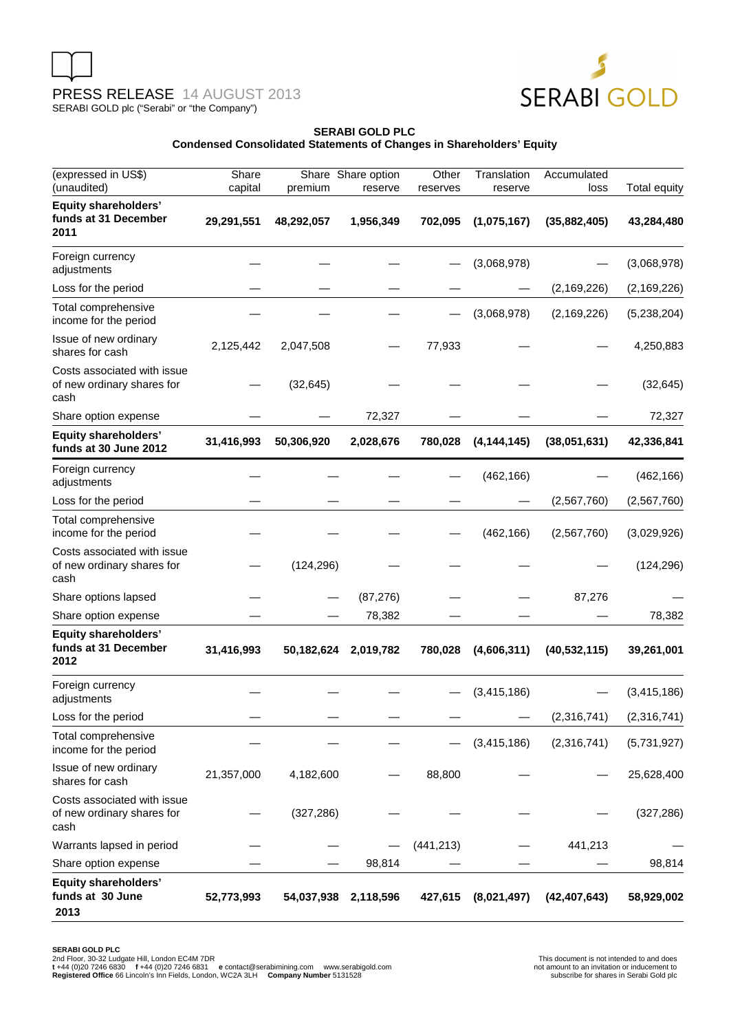



#### **SERABI GOLD PLC Condensed Consolidated Statements of Changes in Shareholders' Equity**

| (expressed in US\$)<br>(unaudited)                                | Share<br>capital | premium    | Share Share option<br>reserve | Other<br>reserves | Translation<br>reserve | Accumulated<br>loss | <b>Total equity</b> |
|-------------------------------------------------------------------|------------------|------------|-------------------------------|-------------------|------------------------|---------------------|---------------------|
| <b>Equity shareholders'</b><br>funds at 31 December<br>2011       | 29,291,551       | 48,292,057 | 1,956,349                     | 702,095           | (1,075,167)            | (35,882,405)        | 43,284,480          |
| Foreign currency<br>adjustments                                   |                  |            |                               |                   | (3,068,978)            |                     | (3,068,978)         |
| Loss for the period                                               |                  |            |                               |                   |                        | (2, 169, 226)       | (2, 169, 226)       |
| Total comprehensive<br>income for the period                      |                  |            |                               |                   | (3,068,978)            | (2, 169, 226)       | (5,238,204)         |
| Issue of new ordinary<br>shares for cash                          | 2,125,442        | 2,047,508  |                               | 77,933            |                        |                     | 4,250,883           |
| Costs associated with issue<br>of new ordinary shares for<br>cash |                  | (32, 645)  |                               |                   |                        |                     | (32, 645)           |
| Share option expense                                              |                  |            | 72,327                        |                   |                        |                     | 72,327              |
| <b>Equity shareholders'</b><br>funds at 30 June 2012              | 31,416,993       | 50,306,920 | 2,028,676                     | 780,028           | (4, 144, 145)          | (38,051,631)        | 42,336,841          |
| Foreign currency<br>adjustments                                   |                  |            |                               |                   | (462, 166)             |                     | (462, 166)          |
| Loss for the period                                               |                  |            |                               |                   |                        | (2,567,760)         | (2,567,760)         |
| Total comprehensive<br>income for the period                      |                  |            |                               |                   | (462, 166)             | (2,567,760)         | (3,029,926)         |
| Costs associated with issue<br>of new ordinary shares for<br>cash |                  | (124, 296) |                               |                   |                        |                     | (124, 296)          |
| Share options lapsed                                              |                  |            | (87, 276)                     |                   |                        | 87,276              |                     |
| Share option expense                                              |                  |            | 78,382                        |                   |                        |                     | 78,382              |
| <b>Equity shareholders'</b><br>funds at 31 December<br>2012       | 31,416,993       | 50,182,624 | 2,019,782                     | 780,028           | (4,606,311)            | (40, 532, 115)      | 39,261,001          |
| Foreign currency<br>adjustments                                   |                  |            |                               |                   | (3,415,186)            |                     | (3, 415, 186)       |
| Loss for the period                                               |                  |            |                               |                   |                        | (2,316,741)         | (2,316,741)         |
| Total comprehensive<br>income for the period                      |                  |            |                               |                   | (3,415,186)            | (2,316,741)         | (5,731,927)         |
| Issue of new ordinary<br>shares for cash                          | 21,357,000       | 4,182,600  |                               | 88,800            |                        |                     | 25,628,400          |
| Costs associated with issue<br>of new ordinary shares for<br>cash |                  | (327, 286) |                               |                   |                        |                     | (327, 286)          |
| Warrants lapsed in period                                         |                  |            |                               | (441, 213)        |                        | 441,213             |                     |
| Share option expense                                              |                  |            | 98,814                        |                   |                        |                     | 98,814              |
| <b>Equity shareholders'</b><br>funds at 30 June<br>2013           | 52,773,993       | 54,037,938 | 2,118,596                     | 427,615           | (8,021,497)            | (42, 407, 643)      | 58,929,002          |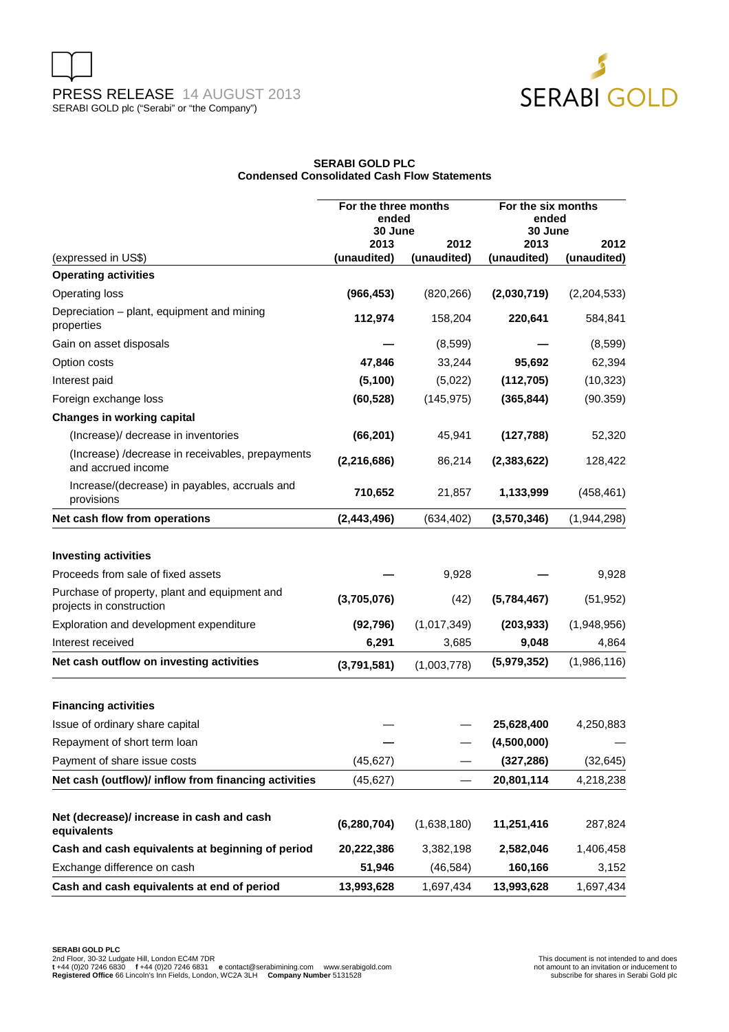



#### **SERABI GOLD PLC Condensed Consolidated Cash Flow Statements**

|                                                                           | For the three months<br>ended<br>30 June |                     | For the six months<br>ended<br>30 June |             |
|---------------------------------------------------------------------------|------------------------------------------|---------------------|----------------------------------------|-------------|
| (expressed in US\$)                                                       | 2013<br>(unaudited)                      | 2012<br>(unaudited) | 2013<br>(unaudited)                    | 2012        |
| <b>Operating activities</b>                                               |                                          |                     |                                        | (unaudited) |
| <b>Operating loss</b>                                                     | (966, 453)                               | (820, 266)          | (2,030,719)                            | (2,204,533) |
| Depreciation – plant, equipment and mining                                |                                          |                     |                                        |             |
| properties                                                                | 112,974                                  | 158,204             | 220,641                                | 584,841     |
| Gain on asset disposals                                                   |                                          | (8,599)             |                                        | (8,599)     |
| Option costs                                                              | 47,846                                   | 33,244              | 95,692                                 | 62,394      |
| Interest paid                                                             | (5, 100)                                 | (5,022)             | (112, 705)                             | (10, 323)   |
| Foreign exchange loss                                                     | (60, 528)                                | (145, 975)          | (365, 844)                             | (90.359)    |
| <b>Changes in working capital</b>                                         |                                          |                     |                                        |             |
| (Increase)/ decrease in inventories                                       | (66, 201)                                | 45,941              | (127, 788)                             | 52,320      |
| (Increase) /decrease in receivables, prepayments<br>and accrued income    | (2, 216, 686)                            | 86,214              | (2, 383, 622)                          | 128,422     |
| Increase/(decrease) in payables, accruals and<br>provisions               | 710,652                                  | 21,857              | 1,133,999                              | (458, 461)  |
| Net cash flow from operations                                             | (2, 443, 496)                            | (634, 402)          | (3,570,346)                            | (1,944,298) |
| <b>Investing activities</b><br>Proceeds from sale of fixed assets         |                                          | 9,928               |                                        | 9,928       |
| Purchase of property, plant and equipment and<br>projects in construction | (3,705,076)                              | (42)                | (5,784,467)                            | (51, 952)   |
| Exploration and development expenditure                                   | (92, 796)                                | (1,017,349)         | (203, 933)                             | (1,948,956) |
| Interest received                                                         | 6,291                                    | 3,685               | 9,048                                  | 4,864       |
| Net cash outflow on investing activities                                  | (3,791,581)                              | (1,003,778)         | (5,979,352)                            | (1,986,116) |
| <b>Financing activities</b>                                               |                                          |                     |                                        |             |
| Issue of ordinary share capital                                           |                                          |                     | 25,628,400                             | 4,250,883   |
| Repayment of short term loan                                              |                                          |                     | (4,500,000)                            |             |
| Payment of share issue costs                                              | (45, 627)                                |                     | (327, 286)                             | (32, 645)   |
| Net cash (outflow)/ inflow from financing activities                      | (45, 627)                                |                     | 20,801,114                             | 4,218,238   |
| Net (decrease)/ increase in cash and cash<br>equivalents                  | (6, 280, 704)                            | (1,638,180)         | 11,251,416                             | 287,824     |
| Cash and cash equivalents at beginning of period                          | 20,222,386                               | 3,382,198           | 2,582,046                              | 1,406,458   |
| Exchange difference on cash                                               | 51,946                                   | (46, 584)           | 160,166                                | 3,152       |
| Cash and cash equivalents at end of period                                | 13,993,628                               | 1,697,434           | 13,993,628                             | 1,697,434   |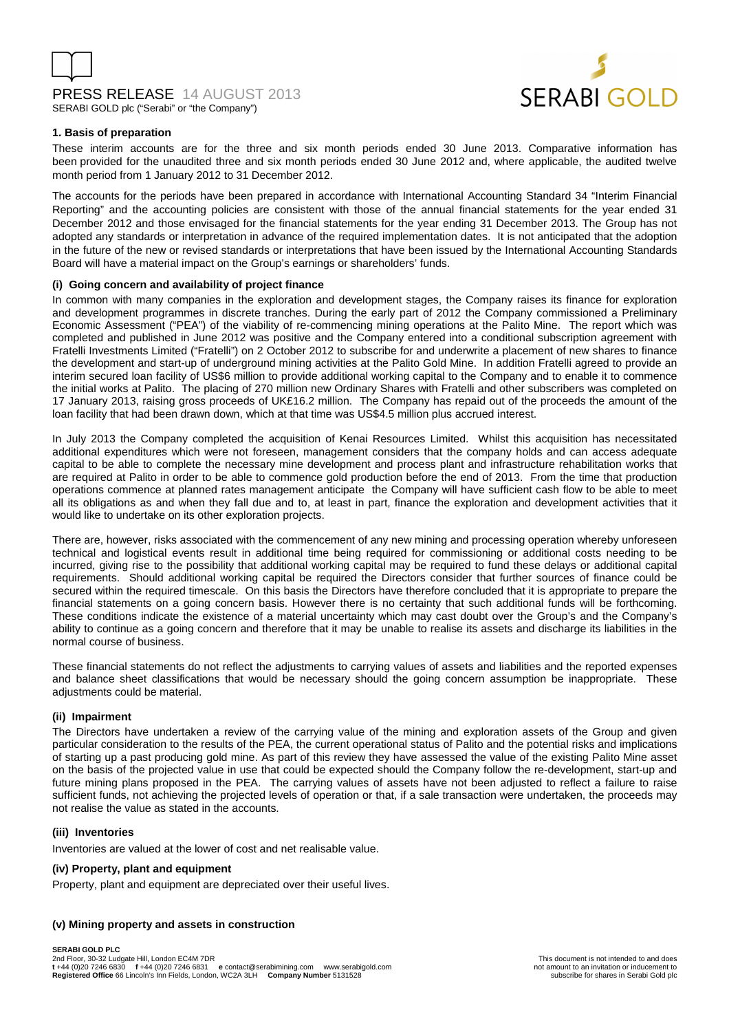



#### **1. Basis of preparation**

These interim accounts are for the three and six month periods ended 30 June 2013. Comparative information has been provided for the unaudited three and six month periods ended 30 June 2012 and, where applicable, the audited twelve month period from 1 January 2012 to 31 December 2012.

The accounts for the periods have been prepared in accordance with International Accounting Standard 34 "Interim Financial Reporting" and the accounting policies are consistent with those of the annual financial statements for the year ended 31 December 2012 and those envisaged for the financial statements for the year ending 31 December 2013. The Group has not adopted any standards or interpretation in advance of the required implementation dates. It is not anticipated that the adoption in the future of the new or revised standards or interpretations that have been issued by the International Accounting Standards Board will have a material impact on the Group's earnings or shareholders' funds.

#### **(i) Going concern and availability of project finance**

In common with many companies in the exploration and development stages, the Company raises its finance for exploration and development programmes in discrete tranches. During the early part of 2012 the Company commissioned a Preliminary Economic Assessment ("PEA") of the viability of re-commencing mining operations at the Palito Mine. The report which was completed and published in June 2012 was positive and the Company entered into a conditional subscription agreement with Fratelli Investments Limited ("Fratelli") on 2 October 2012 to subscribe for and underwrite a placement of new shares to finance the development and start-up of underground mining activities at the Palito Gold Mine. In addition Fratelli agreed to provide an interim secured loan facility of US\$6 million to provide additional working capital to the Company and to enable it to commence the initial works at Palito. The placing of 270 million new Ordinary Shares with Fratelli and other subscribers was completed on 17 January 2013, raising gross proceeds of UK£16.2 million. The Company has repaid out of the proceeds the amount of the loan facility that had been drawn down, which at that time was US\$4.5 million plus accrued interest.

In July 2013 the Company completed the acquisition of Kenai Resources Limited. Whilst this acquisition has necessitated additional expenditures which were not foreseen, management considers that the company holds and can access adequate capital to be able to complete the necessary mine development and process plant and infrastructure rehabilitation works that are required at Palito in order to be able to commence gold production before the end of 2013. From the time that production operations commence at planned rates management anticipate the Company will have sufficient cash flow to be able to meet all its obligations as and when they fall due and to, at least in part, finance the exploration and development activities that it would like to undertake on its other exploration projects.

There are, however, risks associated with the commencement of any new mining and processing operation whereby unforeseen technical and logistical events result in additional time being required for commissioning or additional costs needing to be incurred, giving rise to the possibility that additional working capital may be required to fund these delays or additional capital requirements. Should additional working capital be required the Directors consider that further sources of finance could be secured within the required timescale. On this basis the Directors have therefore concluded that it is appropriate to prepare the financial statements on a going concern basis. However there is no certainty that such additional funds will be forthcoming. These conditions indicate the existence of a material uncertainty which may cast doubt over the Group's and the Company's ability to continue as a going concern and therefore that it may be unable to realise its assets and discharge its liabilities in the normal course of business.

These financial statements do not reflect the adjustments to carrying values of assets and liabilities and the reported expenses and balance sheet classifications that would be necessary should the going concern assumption be inappropriate. These adjustments could be material.

#### **(ii) Impairment**

The Directors have undertaken a review of the carrying value of the mining and exploration assets of the Group and given particular consideration to the results of the PEA, the current operational status of Palito and the potential risks and implications of starting up a past producing gold mine. As part of this review they have assessed the value of the existing Palito Mine asset on the basis of the projected value in use that could be expected should the Company follow the re-development, start-up and future mining plans proposed in the PEA. The carrying values of assets have not been adjusted to reflect a failure to raise sufficient funds, not achieving the projected levels of operation or that, if a sale transaction were undertaken, the proceeds may not realise the value as stated in the accounts.

#### **(iii) Inventories**

Inventories are valued at the lower of cost and net realisable value.

#### **(iv) Property, plant and equipment**

Property, plant and equipment are depreciated over their useful lives.

#### **(v) Mining property and assets in construction**